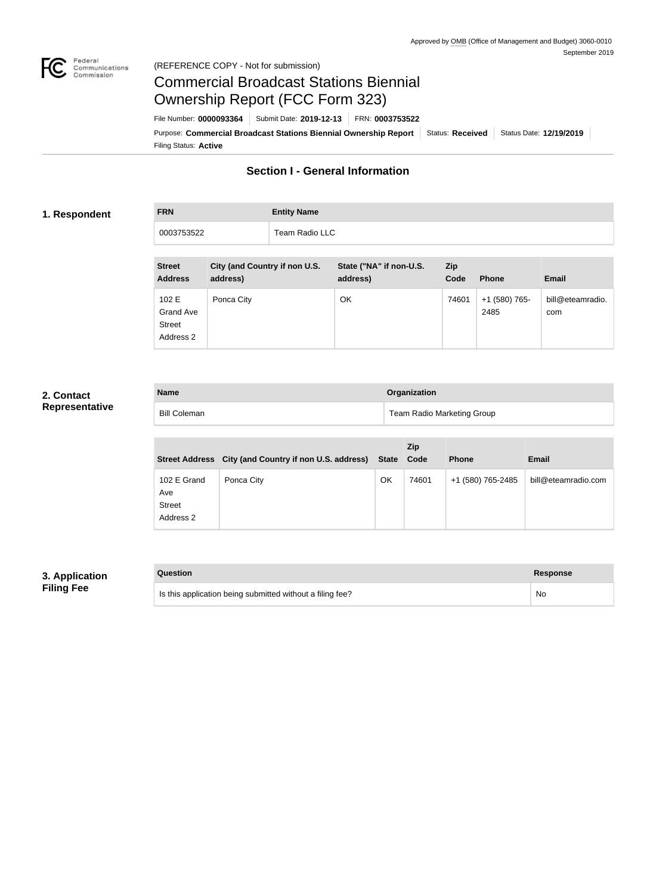

#### Federal<br>Communications<br>Commission (REFERENCE COPY - Not for submission)

# Commercial Broadcast Stations Biennial Ownership Report (FCC Form 323)

Filing Status: **Active** Purpose: Commercial Broadcast Stations Biennial Ownership Report Status: Received Status Date: 12/19/2019 File Number: **0000093364** Submit Date: **2019-12-13** FRN: **0003753522**

## **Section I - General Information**

#### **1. Respondent**

**FRN Entity Name** 0003753522 Team Radio LLC

| <b>Street</b><br><b>Address</b>                  | City (and Country if non U.S.<br>address) | State ("NA" if non-U.S.<br>address) | <b>Zip</b><br>Code | <b>Phone</b>          | <b>Email</b>            |
|--------------------------------------------------|-------------------------------------------|-------------------------------------|--------------------|-----------------------|-------------------------|
| 102 E<br>Grand Ave<br><b>Street</b><br>Address 2 | Ponca City                                | OK                                  | 74601              | +1 (580) 765-<br>2485 | bill@eteamradio.<br>com |

### **2. Contact Representative**

| <b>Name</b>         | Organization               |
|---------------------|----------------------------|
| <b>Bill Coleman</b> | Team Radio Marketing Group |

|                                                  | Street Address City (and Country if non U.S. address) State |    | Zip<br>Code | <b>Phone</b>      | <b>Email</b>        |
|--------------------------------------------------|-------------------------------------------------------------|----|-------------|-------------------|---------------------|
| 102 E Grand<br>Ave<br><b>Street</b><br>Address 2 | Ponca City                                                  | OK | 74601       | +1 (580) 765-2485 | bill@eteamradio.com |

#### **3. Application Filing Fee**

| Question                                                  | <b>Response</b> |
|-----------------------------------------------------------|-----------------|
| Is this application being submitted without a filing fee? | No.             |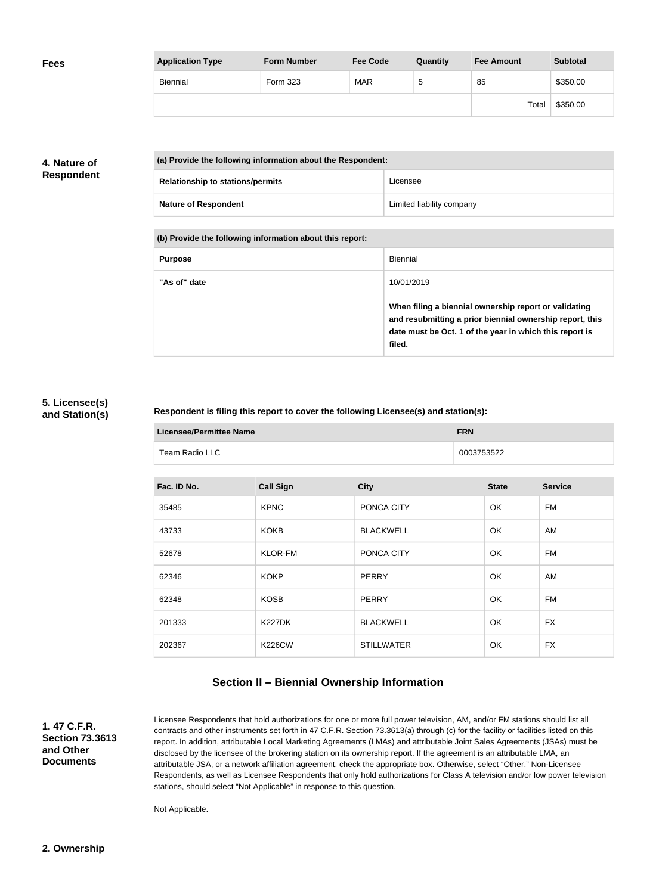| <b>Fees</b> | <b>Application Type</b> | <b>Form Number</b> | <b>Fee Code</b> | Quantity | <b>Fee Amount</b> | <b>Subtotal</b> |
|-------------|-------------------------|--------------------|-----------------|----------|-------------------|-----------------|
|             | Biennial                | Form 323           | <b>MAR</b>      | G        | 85                | \$350.00        |
|             |                         |                    |                 |          | Total             | \$350.00        |

### **4. Nature of Respondent**

| (a) Provide the following information about the Respondent: |                           |
|-------------------------------------------------------------|---------------------------|
| <b>Relationship to stations/permits</b>                     | Licensee                  |
| <b>Nature of Respondent</b>                                 | Limited liability company |

**(b) Provide the following information about this report:**

| <b>Purpose</b> | Biennial                                                                                                                                                                               |
|----------------|----------------------------------------------------------------------------------------------------------------------------------------------------------------------------------------|
| "As of" date   | 10/01/2019                                                                                                                                                                             |
|                | When filing a biennial ownership report or validating<br>and resubmitting a prior biennial ownership report, this<br>date must be Oct. 1 of the year in which this report is<br>filed. |

#### **5. Licensee(s) and Station(s)**

#### **Respondent is filing this report to cover the following Licensee(s) and station(s):**

| Licensee/Permittee Name | <b>FRN</b> |
|-------------------------|------------|
| Team Radio LLC          | 0003753522 |

| Fac. ID No. | <b>Call Sign</b> | <b>City</b>       | <b>State</b> | <b>Service</b> |
|-------------|------------------|-------------------|--------------|----------------|
| 35485       | <b>KPNC</b>      | PONCA CITY        | OK           | <b>FM</b>      |
| 43733       | <b>KOKB</b>      | <b>BLACKWELL</b>  | OK           | AM             |
| 52678       | <b>KLOR-FM</b>   | PONCA CITY        | OK           | FM             |
| 62346       | <b>KOKP</b>      | <b>PERRY</b>      | <b>OK</b>    | AM             |
| 62348       | <b>KOSB</b>      | <b>PERRY</b>      | <b>OK</b>    | FM             |
| 201333      | <b>K227DK</b>    | <b>BLACKWELL</b>  | <b>OK</b>    | <b>FX</b>      |
| 202367      | <b>K226CW</b>    | <b>STILLWATER</b> | <b>OK</b>    | <b>FX</b>      |

## **Section II – Biennial Ownership Information**

**1. 47 C.F.R. Section 73.3613 and Other Documents**

Licensee Respondents that hold authorizations for one or more full power television, AM, and/or FM stations should list all contracts and other instruments set forth in 47 C.F.R. Section 73.3613(a) through (c) for the facility or facilities listed on this report. In addition, attributable Local Marketing Agreements (LMAs) and attributable Joint Sales Agreements (JSAs) must be disclosed by the licensee of the brokering station on its ownership report. If the agreement is an attributable LMA, an attributable JSA, or a network affiliation agreement, check the appropriate box. Otherwise, select "Other." Non-Licensee Respondents, as well as Licensee Respondents that only hold authorizations for Class A television and/or low power television stations, should select "Not Applicable" in response to this question.

Not Applicable.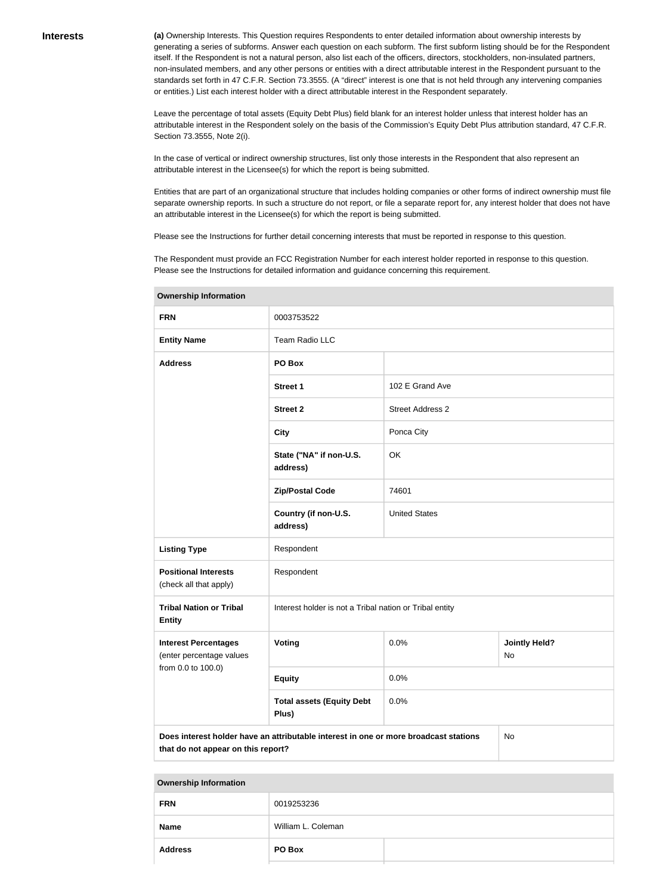**(a)** Ownership Interests. This Question requires Respondents to enter detailed information about ownership interests by generating a series of subforms. Answer each question on each subform. The first subform listing should be for the Respondent itself. If the Respondent is not a natural person, also list each of the officers, directors, stockholders, non-insulated partners, non-insulated members, and any other persons or entities with a direct attributable interest in the Respondent pursuant to the standards set forth in 47 C.F.R. Section 73.3555. (A "direct" interest is one that is not held through any intervening companies or entities.) List each interest holder with a direct attributable interest in the Respondent separately.

Leave the percentage of total assets (Equity Debt Plus) field blank for an interest holder unless that interest holder has an attributable interest in the Respondent solely on the basis of the Commission's Equity Debt Plus attribution standard, 47 C.F.R. Section 73.3555, Note 2(i).

In the case of vertical or indirect ownership structures, list only those interests in the Respondent that also represent an attributable interest in the Licensee(s) for which the report is being submitted.

Entities that are part of an organizational structure that includes holding companies or other forms of indirect ownership must file separate ownership reports. In such a structure do not report, or file a separate report for, any interest holder that does not have an attributable interest in the Licensee(s) for which the report is being submitted.

Please see the Instructions for further detail concerning interests that must be reported in response to this question.

The Respondent must provide an FCC Registration Number for each interest holder reported in response to this question. Please see the Instructions for detailed information and guidance concerning this requirement.

| <b>FRN</b>                                              | 0003753522                                                                           |                         |                            |  |
|---------------------------------------------------------|--------------------------------------------------------------------------------------|-------------------------|----------------------------|--|
| <b>Entity Name</b>                                      | Team Radio LLC                                                                       |                         |                            |  |
| <b>Address</b>                                          | PO Box                                                                               |                         |                            |  |
|                                                         | <b>Street 1</b>                                                                      | 102 E Grand Ave         |                            |  |
|                                                         | <b>Street 2</b>                                                                      | <b>Street Address 2</b> |                            |  |
|                                                         | <b>City</b>                                                                          | Ponca City              |                            |  |
|                                                         | State ("NA" if non-U.S.<br>address)                                                  | OK                      |                            |  |
|                                                         | <b>Zip/Postal Code</b>                                                               | 74601                   |                            |  |
|                                                         | Country (if non-U.S.<br>address)                                                     | <b>United States</b>    |                            |  |
| <b>Listing Type</b>                                     | Respondent                                                                           |                         |                            |  |
| <b>Positional Interests</b><br>(check all that apply)   | Respondent                                                                           |                         |                            |  |
| <b>Tribal Nation or Tribal</b><br><b>Entity</b>         | Interest holder is not a Tribal nation or Tribal entity                              |                         |                            |  |
| <b>Interest Percentages</b><br>(enter percentage values | <b>Voting</b>                                                                        | 0.0%                    | <b>Jointly Held?</b><br>No |  |
| from 0.0 to 100.0)                                      | <b>Equity</b>                                                                        | 0.0%                    |                            |  |
|                                                         | <b>Total assets (Equity Debt</b><br>Plus)                                            | 0.0%                    |                            |  |
| that do not appear on this report?                      | Does interest holder have an attributable interest in one or more broadcast stations |                         | No                         |  |

**Ownership Information**

|  | <b>Ownership Information</b> |
|--|------------------------------|
|--|------------------------------|

| <b>FRN</b>     | 0019253236         |  |
|----------------|--------------------|--|
| <b>Name</b>    | William L. Coleman |  |
| <b>Address</b> | PO Box             |  |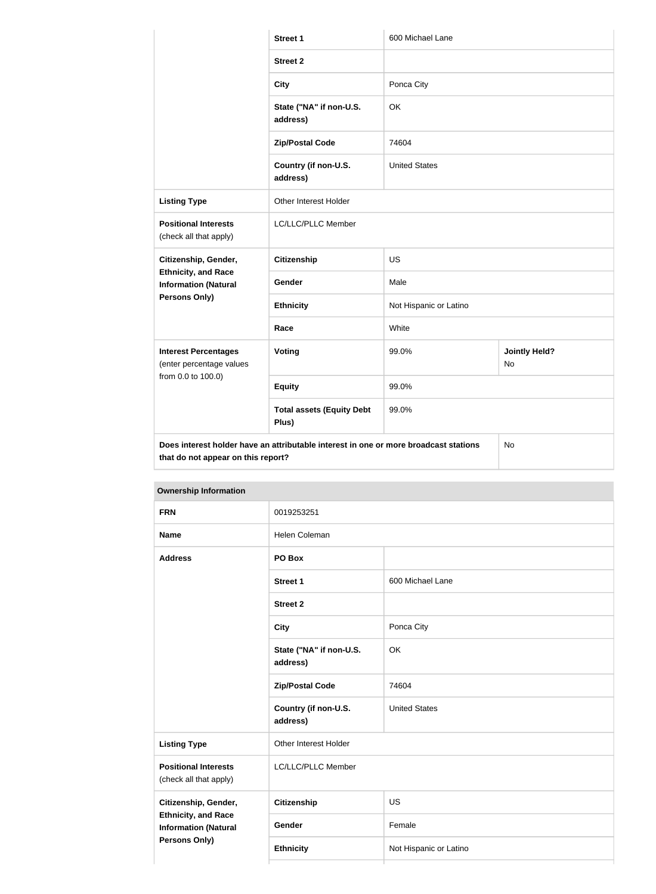|                                                                                                                             | <b>Street 1</b>                           | 600 Michael Lane       |                                   |
|-----------------------------------------------------------------------------------------------------------------------------|-------------------------------------------|------------------------|-----------------------------------|
|                                                                                                                             | <b>Street 2</b>                           |                        |                                   |
|                                                                                                                             | <b>City</b>                               | Ponca City             |                                   |
|                                                                                                                             | State ("NA" if non-U.S.<br>address)       | OK                     |                                   |
|                                                                                                                             | <b>Zip/Postal Code</b>                    | 74604                  |                                   |
|                                                                                                                             | Country (if non-U.S.<br>address)          | <b>United States</b>   |                                   |
| <b>Listing Type</b>                                                                                                         | Other Interest Holder                     |                        |                                   |
| <b>Positional Interests</b><br>(check all that apply)                                                                       | LC/LLC/PLLC Member                        |                        |                                   |
| Citizenship, Gender,                                                                                                        | <b>Citizenship</b>                        | <b>US</b>              |                                   |
| <b>Ethnicity, and Race</b><br><b>Information (Natural</b><br>Persons Only)                                                  | Gender                                    | Male                   |                                   |
|                                                                                                                             | <b>Ethnicity</b>                          | Not Hispanic or Latino |                                   |
|                                                                                                                             | Race                                      | White                  |                                   |
| <b>Interest Percentages</b><br>(enter percentage values<br>from 0.0 to 100.0)                                               | <b>Voting</b>                             | 99.0%                  | <b>Jointly Held?</b><br><b>No</b> |
|                                                                                                                             | <b>Equity</b>                             | 99.0%                  |                                   |
|                                                                                                                             | <b>Total assets (Equity Debt</b><br>Plus) | 99.0%                  |                                   |
| Does interest holder have an attributable interest in one or more broadcast stations<br>the contract of the contract of the |                                           |                        | No                                |

**that do not appear on this report?**

| <b>Ownership Information</b>                                                                       |                                     |                        |  |
|----------------------------------------------------------------------------------------------------|-------------------------------------|------------------------|--|
| <b>FRN</b>                                                                                         | 0019253251                          |                        |  |
| <b>Name</b>                                                                                        | <b>Helen Coleman</b>                |                        |  |
| <b>Address</b>                                                                                     | PO Box                              |                        |  |
|                                                                                                    | <b>Street 1</b>                     | 600 Michael Lane       |  |
|                                                                                                    | <b>Street 2</b>                     |                        |  |
|                                                                                                    | <b>City</b>                         | Ponca City             |  |
|                                                                                                    | State ("NA" if non-U.S.<br>address) | OK                     |  |
|                                                                                                    | <b>Zip/Postal Code</b>              | 74604                  |  |
|                                                                                                    | Country (if non-U.S.<br>address)    | <b>United States</b>   |  |
| <b>Listing Type</b>                                                                                | Other Interest Holder               |                        |  |
| <b>Positional Interests</b><br>(check all that apply)                                              | LC/LLC/PLLC Member                  |                        |  |
| Citizenship, Gender,<br><b>Ethnicity, and Race</b><br><b>Information (Natural</b><br>Persons Only) | <b>Citizenship</b>                  | US                     |  |
|                                                                                                    | Gender                              | Female                 |  |
|                                                                                                    | <b>Ethnicity</b>                    | Not Hispanic or Latino |  |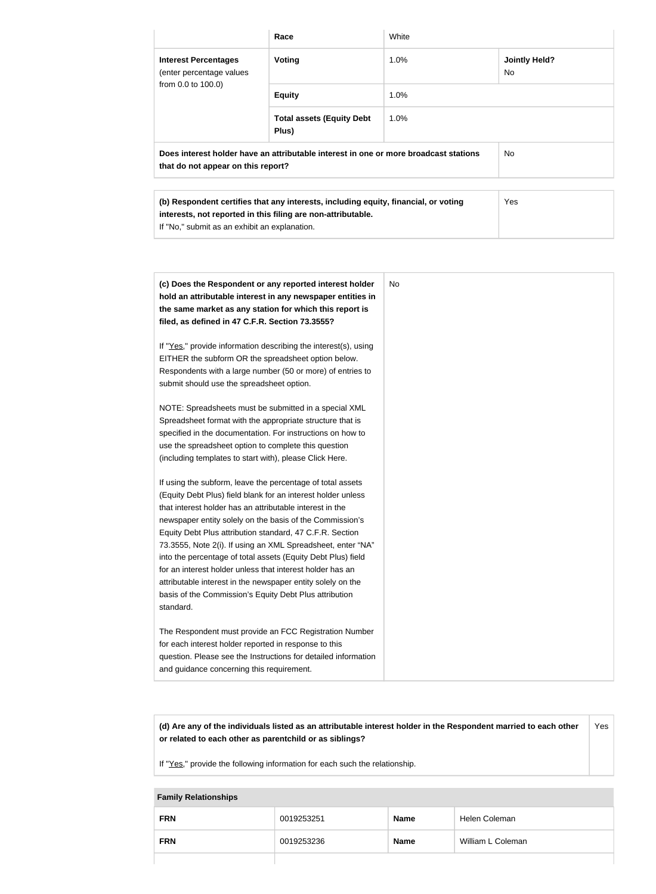|                                                                                                                            | Race                                                                                                                                                | White |                            |
|----------------------------------------------------------------------------------------------------------------------------|-----------------------------------------------------------------------------------------------------------------------------------------------------|-------|----------------------------|
| <b>Interest Percentages</b><br>(enter percentage values<br>from 0.0 to 100.0)                                              | Voting                                                                                                                                              | 1.0%  | <b>Jointly Held?</b><br>No |
|                                                                                                                            | <b>Equity</b>                                                                                                                                       | 1.0%  |                            |
|                                                                                                                            | <b>Total assets (Equity Debt</b><br>Plus)                                                                                                           | 1.0%  |                            |
| Does interest holder have an attributable interest in one or more broadcast stations<br>that do not appear on this report? |                                                                                                                                                     |       | No.                        |
| If "No," submit as an exhibit an explanation.                                                                              | (b) Respondent certifies that any interests, including equity, financial, or voting<br>interests, not reported in this filing are non-attributable. |       | Yes                        |
|                                                                                                                            |                                                                                                                                                     |       |                            |

| (c) Does the Respondent or any reported interest holder<br>hold an attributable interest in any newspaper entities in<br>the same market as any station for which this report is<br>filed, as defined in 47 C.F.R. Section 73.3555?                                                                                                                                                                                                                                                                                                                                                                                                              | No |
|--------------------------------------------------------------------------------------------------------------------------------------------------------------------------------------------------------------------------------------------------------------------------------------------------------------------------------------------------------------------------------------------------------------------------------------------------------------------------------------------------------------------------------------------------------------------------------------------------------------------------------------------------|----|
| If "Yes," provide information describing the interest(s), using<br>EITHER the subform OR the spreadsheet option below.<br>Respondents with a large number (50 or more) of entries to<br>submit should use the spreadsheet option.                                                                                                                                                                                                                                                                                                                                                                                                                |    |
| NOTE: Spreadsheets must be submitted in a special XML<br>Spreadsheet format with the appropriate structure that is<br>specified in the documentation. For instructions on how to<br>use the spreadsheet option to complete this question<br>(including templates to start with), please Click Here.                                                                                                                                                                                                                                                                                                                                              |    |
| If using the subform, leave the percentage of total assets<br>(Equity Debt Plus) field blank for an interest holder unless<br>that interest holder has an attributable interest in the<br>newspaper entity solely on the basis of the Commission's<br>Equity Debt Plus attribution standard, 47 C.F.R. Section<br>73.3555, Note 2(i). If using an XML Spreadsheet, enter "NA"<br>into the percentage of total assets (Equity Debt Plus) field<br>for an interest holder unless that interest holder has an<br>attributable interest in the newspaper entity solely on the<br>basis of the Commission's Equity Debt Plus attribution<br>standard. |    |
| The Respondent must provide an FCC Registration Number<br>for each interest holder reported in response to this<br>question. Please see the Instructions for detailed information<br>and guidance concerning this requirement.                                                                                                                                                                                                                                                                                                                                                                                                                   |    |

**(d) Are any of the individuals listed as an attributable interest holder in the Respondent married to each other or related to each other as parentchild or as siblings?** Yes

If "Yes," provide the following information for each such the relationship.

**Family Relationships**

| <b>FRN</b> | 0019253251 | <b>Name</b> | Helen Coleman     |
|------------|------------|-------------|-------------------|
| <b>FRN</b> | 0019253236 | <b>Name</b> | William L Coleman |
|            |            |             |                   |